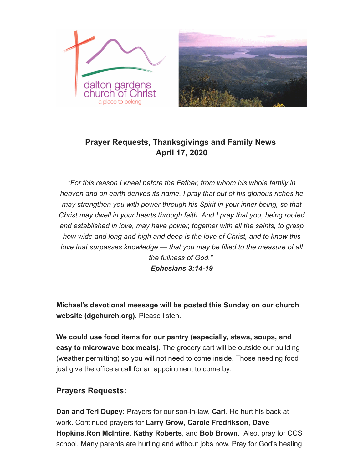



# **Prayer Requests, Thanksgivings and Family News April 17, 2020**

*"For this reason I kneel before the Father, from whom his whole family in heaven and on earth derives its name. I pray that out of his glorious riches he may strengthen you with power through his Spirit in your inner being, so that Christ may dwell in your hearts through faith. And I pray that you, being rooted and established in love, may have power, together with all the saints, to grasp how wide and long and high and deep is the love of Christ, and to know this love that surpasses knowledge — that you may be filled to the measure of all the fullness of God."*

*Ephesians 3:14-19*

**Michael's devotional message will be posted this Sunday on our church website (dgchurch.org).** Please listen.

**We could use food items for our pantry (especially, stews, soups, and easy to microwave box meals).** The grocery cart will be outside our building (weather permitting) so you will not need to come inside. Those needing food just give the office a call for an appointment to come by.

### **Prayers Requests:**

**Dan and Teri Dupey:** Prayers for our son-in-law, **Carl**. He hurt his back at work. Continued prayers for **Larry Grow**, **Carole Fredrikson**, **Dave Hopkins**,**Ron McIntire**, **Kathy Roberts**, and **Bob Brown**. Also, pray for CCS school. Many parents are hurting and without jobs now. Pray for God's healing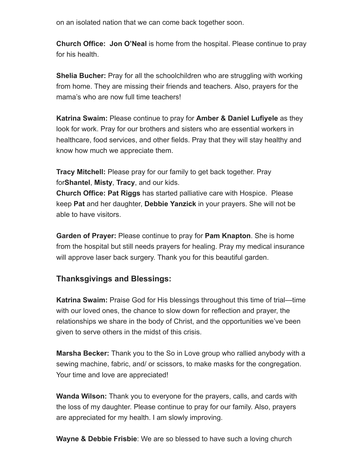on an isolated nation that we can come back together soon.

**Church Office: Jon O'Neal** is home from the hospital. Please continue to pray for his health.

**Shelia Bucher:** Pray for all the schoolchildren who are struggling with working from home. They are missing their friends and teachers. Also, prayers for the mama's who are now full time teachers!

**Katrina Swaim:** Please continue to pray for **Amber & Daniel Lufiyele** as they look for work. Pray for our brothers and sisters who are essential workers in healthcare, food services, and other fields. Pray that they will stay healthy and know how much we appreciate them.

**Tracy Mitchell:** Please pray for our family to get back together. Pray for**Shantel**, **Misty**, **Tracy**, and our kids.

**Church Office: Pat Riggs** has started palliative care with Hospice. Please keep **Pat** and her daughter, **Debbie Yanzick** in your prayers. She will not be able to have visitors.

**Garden of Prayer:** Please continue to pray for **Pam Knapton**. She is home from the hospital but still needs prayers for healing. Pray my medical insurance will approve laser back surgery. Thank you for this beautiful garden.

### **Thanksgivings and Blessings:**

**Katrina Swaim:** Praise God for His blessings throughout this time of trial—time with our loved ones, the chance to slow down for reflection and prayer, the relationships we share in the body of Christ, and the opportunities we've been given to serve others in the midst of this crisis.

**Marsha Becker:** Thank you to the So in Love group who rallied anybody with a sewing machine, fabric, and/ or scissors, to make masks for the congregation. Your time and love are appreciated!

**Wanda Wilson:** Thank you to everyone for the prayers, calls, and cards with the loss of my daughter. Please continue to pray for our family. Also, prayers are appreciated for my health. I am slowly improving.

**Wayne & Debbie Frisbie**: We are so blessed to have such a loving church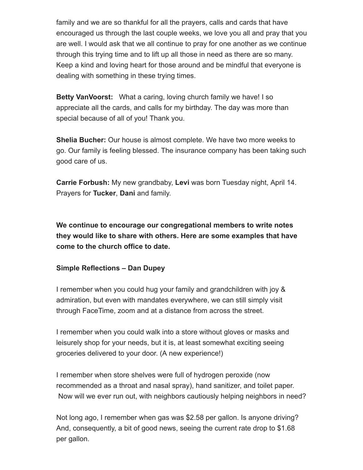family and we are so thankful for all the prayers, calls and cards that have encouraged us through the last couple weeks, we love you all and pray that you are well. I would ask that we all continue to pray for one another as we continue through this trying time and to lift up all those in need as there are so many. Keep a kind and loving heart for those around and be mindful that everyone is dealing with something in these trying times.

**Betty VanVoorst:** What a caring, loving church family we have! I so appreciate all the cards, and calls for my birthday. The day was more than special because of all of you! Thank you.

**Shelia Bucher:** Our house is almost complete. We have two more weeks to go. Our family is feeling blessed. The insurance company has been taking such good care of us.

**Carrie Forbush:** My new grandbaby, **Levi** was born Tuesday night, April 14. Prayers for **Tucker**, **Dani** and family.

**We continue to encourage our congregational members to write notes they would like to share with others. Here are some examples that have come to the church office to date.**

#### **Simple Reflections – Dan Dupey**

I remember when you could hug your family and grandchildren with joy & admiration, but even with mandates everywhere, we can still simply visit through FaceTime, zoom and at a distance from across the street.

I remember when you could walk into a store without gloves or masks and leisurely shop for your needs, but it is, at least somewhat exciting seeing groceries delivered to your door. (A new experience!)

I remember when store shelves were full of hydrogen peroxide (now recommended as a throat and nasal spray), hand sanitizer, and toilet paper. Now will we ever run out, with neighbors cautiously helping neighbors in need?

Not long ago, I remember when gas was \$2.58 per gallon. Is anyone driving? And, consequently, a bit of good news, seeing the current rate drop to \$1.68 per gallon.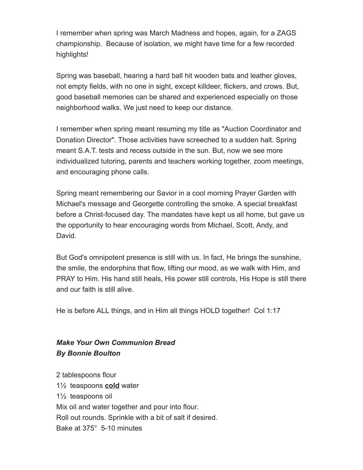I remember when spring was March Madness and hopes, again, for a ZAGS championship. Because of isolation, we might have time for a few recorded highlights!

Spring was baseball, hearing a hard ball hit wooden bats and leather gloves, not empty fields, with no one in sight, except killdeer, flickers, and crows. But, good baseball memories can be shared and experienced especially on those neighborhood walks. We just need to keep our distance.

I remember when spring meant resuming my title as "Auction Coordinator and Donation Director". Those activities have screeched to a sudden halt. Spring meant S.A.T. tests and recess outside in the sun. But, now we see more individualized tutoring, parents and teachers working together, zoom meetings, and encouraging phone calls.

Spring meant remembering our Savior in a cool morning Prayer Garden with Michael's message and Georgette controlling the smoke. A special breakfast before a Christ-focused day. The mandates have kept us all home, but gave us the opportunity to hear encouraging words from Michael, Scott, Andy, and David.

But God's omnipotent presence is still with us. In fact, He brings the sunshine, the smile, the endorphins that flow, lifting our mood, as we walk with Him, and PRAY to Him. His hand still heals, His power still controls, His Hope is still there and our faith is still alive.

He is before ALL things, and in Him all things HOLD together! Col 1:17

## *Make Your Own Communion Bread By Bonnie Boulton*

2 tablespoons flour 1½ teaspoons **cold** water 1½ teaspoons oil Mix oil and water together and pour into flour. Roll out rounds. Sprinkle with a bit of salt if desired. Bake at 375° 5-10 minutes